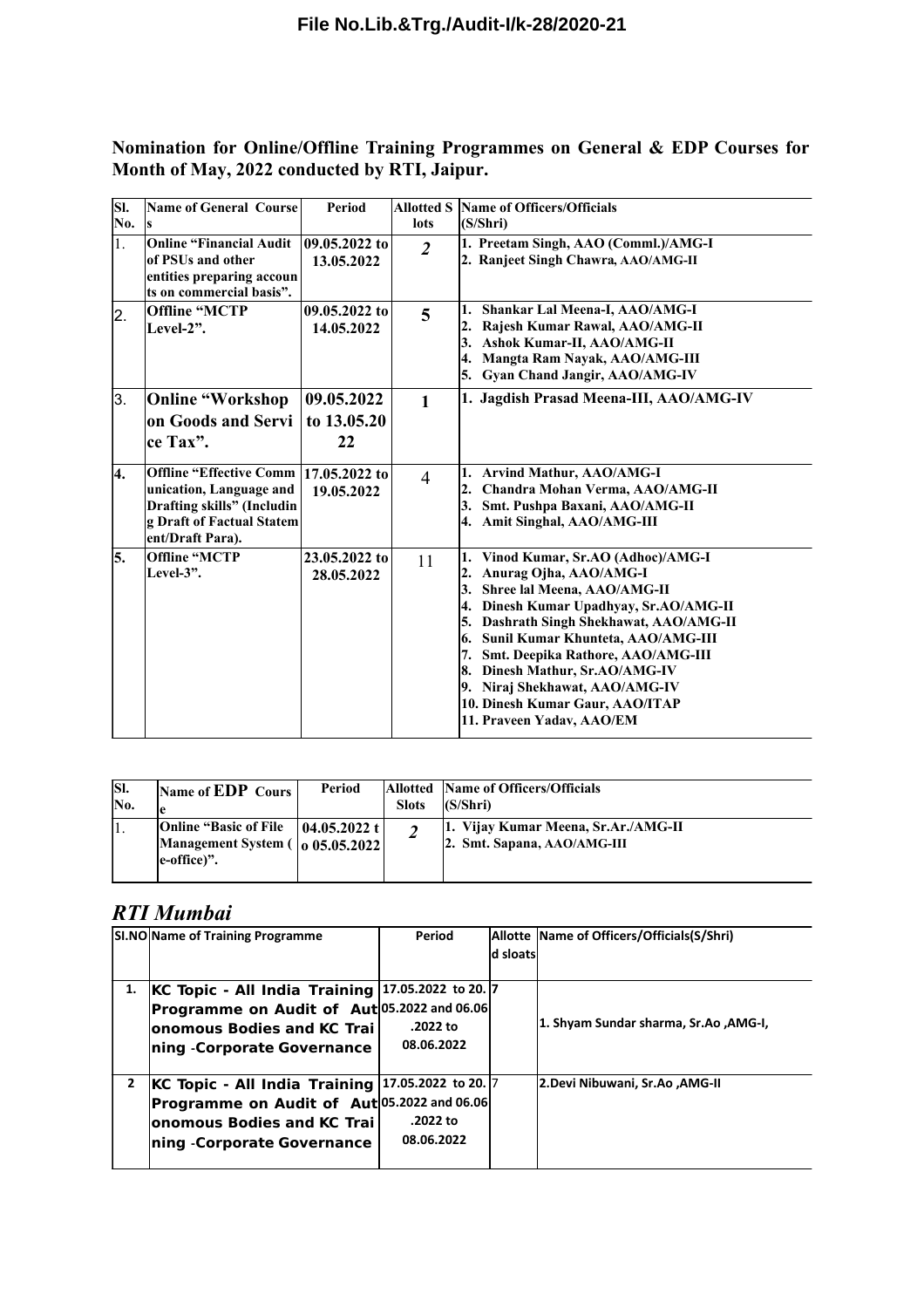**Nomination for Online/Offline Training Programmes on General & EDP Courses for Month of May, 2022 conducted by RTI, Jaipur.**

| SI.<br>No.       | <b>Name of General Course</b>                                                                                                                   | Period                          | <b>Allotted S</b><br>lots | <b>Name of Officers/Officials</b><br>(S/Shri)                                                                                                                                                                                                                                                                                                                                                                  |  |
|------------------|-------------------------------------------------------------------------------------------------------------------------------------------------|---------------------------------|---------------------------|----------------------------------------------------------------------------------------------------------------------------------------------------------------------------------------------------------------------------------------------------------------------------------------------------------------------------------------------------------------------------------------------------------------|--|
| $\overline{1}$ . | <b>Online "Financial Audit</b><br>of PSUs and other<br>entities preparing accoun<br>ts on commercial basis".                                    | 09.05.2022 to<br>13.05.2022     | $\overline{2}$            | 1. Preetam Singh, AAO (Comml.)/AMG-I<br>2. Ranjeet Singh Chawra, AAO/AMG-II                                                                                                                                                                                                                                                                                                                                    |  |
| $\overline{2}$ . | <b>Offline "MCTP</b><br>Level- $2$ ".                                                                                                           | 09.05.2022 to<br>14.05.2022     | 5                         | Shankar Lal Meena-I, AAO/AMG-I<br>Rajesh Kumar Rawal, AAO/AMG-II<br>2.<br>Ashok Kumar-II, AAO/AMG-II<br>3.<br>Mangta Ram Nayak, AAO/AMG-III<br>4.<br>5. Gyan Chand Jangir, AAO/AMG-IV                                                                                                                                                                                                                          |  |
| 3.               | <b>Online "Workshop</b><br>on Goods and Servi<br>ce Tax".                                                                                       | 09.05.2022<br>to 13.05.20<br>22 | $\mathbf{1}$              | 1. Jagdish Prasad Meena-III, AAO/AMG-IV                                                                                                                                                                                                                                                                                                                                                                        |  |
| 4.               | Offline "Effective Comm 17.05.2022 to<br>unication, Language and<br>Drafting skills" (Includin<br>g Draft of Factual Statem<br>ent/Draft Para). | 19.05.2022                      | $\overline{4}$            | 1. Arvind Mathur, AAO/AMG-I<br>2. Chandra Mohan Verma, AAO/AMG-II<br>3.<br>Smt. Pushpa Baxani, AAO/AMG-II<br>4. Amit Singhal, AAO/AMG-III                                                                                                                                                                                                                                                                      |  |
| 5.               | <b>Offline "MCTP</b><br>Level- $3$ ".                                                                                                           | 23.05.2022 to<br>28.05.2022     | 11                        | Vinod Kumar, Sr.AO (Adhoc)/AMG-I<br>Anurag Ojha, AAO/AMG-I<br>2.<br>3.<br>Shree lal Meena, AAO/AMG-II<br>4. Dinesh Kumar Upadhyay, Sr.AO/AMG-II<br>5. Dashrath Singh Shekhawat, AAO/AMG-II<br>6. Sunil Kumar Khunteta, AAO/AMG-III<br>7. Smt. Deepika Rathore, AAO/AMG-III<br>8. Dinesh Mathur, Sr.AO/AMG-IV<br>9. Niraj Shekhawat, AAO/AMG-IV<br>10. Dinesh Kumar Gaur, AAO/ITAP<br>11. Praveen Yadav, AAO/EM |  |

| ISI.<br>No. | Name of EDP Cours                                                                                                                | Period        | <b>Slots</b> | Allotted Name of Officers/Officials<br>(S/Shri)                    |
|-------------|----------------------------------------------------------------------------------------------------------------------------------|---------------|--------------|--------------------------------------------------------------------|
| ī.          | <b>Online "Basic of File</b><br>Management System $\left(\begin{array}{ c c }\n0.65.05.2022\n\end{array}\right)$<br>le-office)". | 104.05.2022 t | ◠<br>∠       | 1. Vijay Kumar Meena, Sr.Ar./AMG-II<br>2. Smt. Sapana, AAO/AMG-III |

## *RTI Mumbai*

| SI.NO Name of Training Programme                         | Period     |          | Allotte Name of Officers/Officials(S/Shri) |
|----------------------------------------------------------|------------|----------|--------------------------------------------|
|                                                          |            | d sloats |                                            |
|                                                          |            |          |                                            |
| 1. KC Topic - All India Training 17.05.2022 to 20. 7     |            |          |                                            |
| Programme on Audit of Aut 05.2022 and 06.06              |            |          |                                            |
| lonomous Bodies and KC Trail                             | .2022 to   |          | 1. Shyam Sundar sharma, Sr.Ao ,AMG-I,      |
| <b>Ining -Corporate Governance</b>                       | 08.06.2022 |          |                                            |
| <b>KC Topic - All India Training 17.05.2022 to 20. 7</b> |            |          | <b>2.Devi Nibuwani, Sr.Ao ,AMG-II</b>      |
| Programme on Audit of Aut 05.2022 and 06.06              |            |          |                                            |
| lonomous Bodies and KC Trail                             | .2022 to   |          |                                            |
| <b>Ining -Corporate Governance</b>                       | 08.06.2022 |          |                                            |
|                                                          |            |          |                                            |